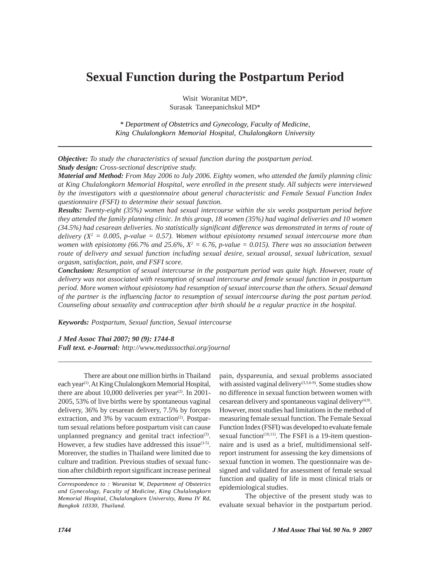# **Sexual Function during the Postpartum Period**

Wisit Woranitat MD\*, Surasak Taneepanichskul MD\*

*\* Department of Obstetrics and Gynecology, Faculty of Medicine, King Chulalongkorn Memorial Hospital, Chulalongkorn University*

*Objective: To study the characteristics of sexual function during the postpartum period. Study design: Cross-sectional descriptive study.*

*Material and Method: From May 2006 to July 2006. Eighty women, who attended the family planning clinic at King Chulalongkorn Memorial Hospital, were enrolled in the present study. All subjects were interviewed by the investigators with a questionnaire about general characteristic and Female Sexual Function Index questionnaire (FSFI) to determine their sexual function.*

*Results: Twenty-eight (35%) women had sexual intercourse within the six weeks postpartum period before they attended the family planning clinic. In this group, 18 women (35%) had vaginal deliveries and 10 women (34.5%) had cesarean deliveries. No statistically significant difference was demonstrated in terms of route of delivery*  $(X^2 = 0.005, p-value = 0.57)$ . Women without episiotomy resumed sexual intercourse more than women with episiotomy (66.7% and 25.6%,  $X^2 = 6.76$ , p-value  $= 0.015$ ). There was no association between *route of delivery and sexual function including sexual desire, sexual arousal, sexual lubrication, sexual orgasm, satisfaction, pain, and FSFI score.*

*Conclusion: Resumption of sexual intercourse in the postpartum period was quite high. However, route of delivery was not associated with resumption of sexual intercourse and female sexual function in postpartum period. More women without episiotomy had resumption of sexual intercourse than the others. Sexual demand of the partner is the influencing factor to resumption of sexual intercourse during the post partum period. Counseling about sexuality and contraception after birth should be a regular practice in the hospital.*

*Keywords: Postpartum, Sexual function, Sexual intercourse*

*J Med Assoc Thai 2007; 90 (9): 1744-8*

*Full text. e-Journal: http://www.medassocthai.org/journal*

There are about one million births in Thailand each year<sup>(1)</sup>. At King Chulalongkorn Memorial Hospital, there are about  $10,000$  deliveries per year<sup>(2)</sup>. In 2001-2005, 53% of live births were by spontaneous vaginal delivery, 36% by cesarean delivery, 7.5% by forceps extraction, and 3% by vacuum extraction<sup>(2)</sup>. Postpartum sexual relations before postpartum visit can cause unplanned pregnancy and genital tract infection<sup>(3)</sup>. However, a few studies have addressed this issue $(3-5)$ . Moreover, the studies in Thailand were limited due to culture and tradition. Previous studies of sexual function after childbirth report significant increase perineal pain, dyspareunia, and sexual problems associated with assisted vaginal delivery<sup>(3,5,6-9)</sup>. Some studies show no difference in sexual function between women with cesarean delivery and spontaneous vaginal delivery $(4,9)$ . However, most studies had limitations in the method of measuring female sexual function. The Female Sexual Function Index (FSFI) was developed to evaluate female sexual function $(10,11)$ . The FSFI is a 19-item questionnaire and is used as a brief, multidimensional selfreport instrument for assessing the key dimensions of sexual function in women. The questionnaire was designed and validated for assessment of female sexual function and quality of life in most clinical trials or epidemiological studies.

The objective of the present study was to evaluate sexual behavior in the postpartum period.

*Correspondence to : Woranitat W, Department of Obstetrics and Gynecology, Faculty of Medicine, King Chulalongkorn Memorial Hospital, Chulalongkorn University, Rama IV Rd, Bangkok 10330, Thailand.*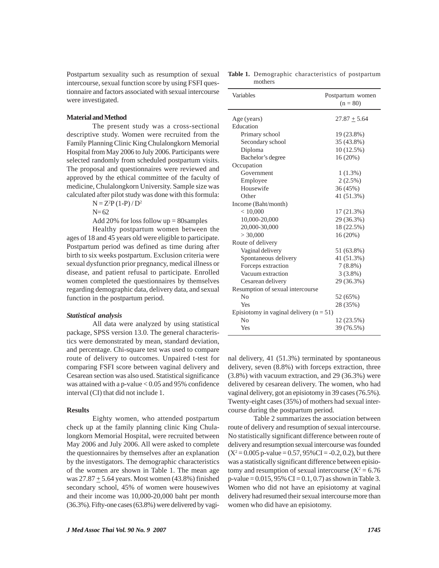Postpartum sexuality such as resumption of sexual intercourse, sexual function score by using FSFI questionnaire and factors associated with sexual intercourse were investigated.

### **Material and Method**

The present study was a cross-sectional descriptive study. Women were recruited from the Family Planning Clinic King Chulalongkorn Memorial Hospital from May 2006 to July 2006. Participants were selected randomly from scheduled postpartum visits. The proposal and questionnaires were reviewed and approved by the ethical committee of the faculty of medicine, Chulalongkorn University. Sample size was calculated after pilot study was done with this formula:

 $N = Z<sup>2</sup>P(1-P)/D<sup>2</sup>$ 

 $N = 62$ 

Add 20% for loss follow  $up = 80$ samples

Healthy postpartum women between the ages of 18 and 45 years old were eligible to participate. Postpartum period was defined as time during after birth to six weeks postpartum. Exclusion criteria were sexual dysfunction prior pregnancy, medical illness or disease, and patient refusal to participate. Enrolled women completed the questionnaires by themselves regarding demographic data, delivery data, and sexual function in the postpartum period.

#### *Statistical analysis*

All data were analyzed by using statistical package, SPSS version 13.0. The general characteristics were demonstrated by mean, standard deviation, and percentage. Chi-square test was used to compare route of delivery to outcomes. Unpaired t-test for comparing FSFI score between vaginal delivery and Cesarean section was also used. Statistical significance was attained with a p-value  $< 0.05$  and 95% confidence interval (CI) that did not include 1.

#### **Results**

Eighty women, who attended postpartum check up at the family planning clinic King Chulalongkorn Memorial Hospital, were recruited between May 2006 and July 2006. All were asked to complete the questionnaires by themselves after an explanation by the investigators. The demographic characteristics of the women are shown in Table 1. The mean age was  $27.87 \pm 5.64$  years. Most women (43.8%) finished secondary school, 45% of women were housewives and their income was 10,000-20,000 baht per month (36.3%). Fifty-one cases (63.8%) were delivered by vagi-

|         | <b>Table 1.</b> Demographic characteristics of postpartum |  |
|---------|-----------------------------------------------------------|--|
| mothers |                                                           |  |

| Variables                                   | Postpartum women<br>$(n = 80)$ |  |  |
|---------------------------------------------|--------------------------------|--|--|
|                                             |                                |  |  |
| Age (years)                                 | $27.87 \pm 5.64$               |  |  |
| Education                                   |                                |  |  |
| Primary school                              | 19 (23.8%)                     |  |  |
| Secondary school                            | 35 (43.8%)                     |  |  |
| Diploma                                     | 10(12.5%)                      |  |  |
| Bachelor's degree                           | 16 (20%)                       |  |  |
| Occupation                                  |                                |  |  |
| Government                                  | $1(1.3\%)$                     |  |  |
| Employee                                    | $2(2.5\%)$                     |  |  |
| Housewife                                   | 36 (45%)                       |  |  |
| Other                                       | 41 (51.3%)                     |  |  |
| Income (Baht/month)                         |                                |  |  |
| < 10,000                                    | 17 (21.3%)                     |  |  |
| 10,000-20,000                               | 29 (36.3%)                     |  |  |
| 20,000-30,000                               | 18 (22.5%)                     |  |  |
| > 30,000                                    | 16(20%)                        |  |  |
| Route of delivery                           |                                |  |  |
| Vaginal delivery                            | 51 (63.8%)                     |  |  |
| Spontaneous delivery                        | 41 (51.3%)                     |  |  |
| Forceps extraction                          | $7(8.8\%)$                     |  |  |
| Vacuum extraction                           | $3(3.8\%)$                     |  |  |
| Cesarean delivery                           | 29 (36.3%)                     |  |  |
| Resumption of sexual intercourse            |                                |  |  |
| No                                          | 52 (65%)                       |  |  |
| Yes                                         | 28 (35%)                       |  |  |
| Episiotomy in vaginal delivery ( $n = 51$ ) |                                |  |  |
| N <sub>0</sub>                              | 12 (23.5%)                     |  |  |
| Yes                                         | 39 (76.5%)                     |  |  |

nal delivery, 41 (51.3%) terminated by spontaneous delivery, seven (8.8%) with forceps extraction, three (3.8%) with vacuum extraction, and 29 (36.3%) were delivered by cesarean delivery. The women, who had vaginal delivery, got an episiotomy in 39 cases (76.5%). Twenty-eight cases (35%) of mothers had sexual intercourse during the postpartum period.

Table 2 summarizes the association between route of delivery and resumption of sexual intercourse. No statistically significant difference between route of delivery and resumption sexual intercourse was founded  $(X^2 = 0.005 \text{ p-value} = 0.57, 95\% \text{ CI} = -0.2, 0.2)$ , but there was a statistically significant difference between episiotomy and resumption of sexual intercourse  $(X^2 = 6.76)$  $p$ -value = 0.015, 95% CI = 0.1, 0.7) as shown in Table 3. Women who did not have an episiotomy at vaginal delivery had resumed their sexual intercourse more than women who did have an episiotomy.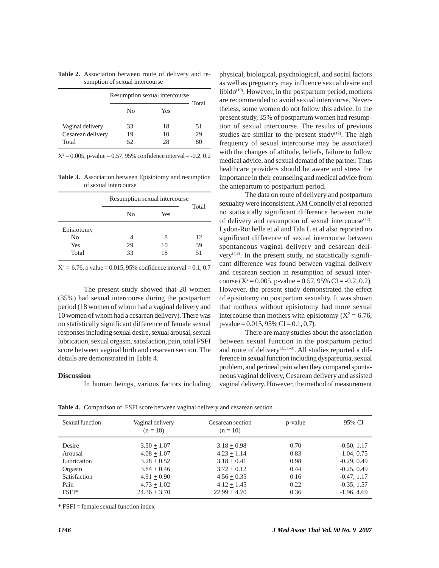|                   | Resumption sexual intercourse |     | Total |
|-------------------|-------------------------------|-----|-------|
|                   | No                            | Yes |       |
| Vaginal delivery  | 33                            | 18  | 51    |
| Cesarean delivery | 19                            | 10  | 29    |
| Total             | 52                            | 28  |       |

**Table 2.** Association between route of delivery and resumption of sexual intercourse

 $X^2 = 0.005$ , p-value = 0.57, 95% confidence interval = -0.2, 0.2

**Table 3.** Association between Episiotomy and resumption of sexual intercourse

|                                  | Resumption sexual intercourse |               | Total          |
|----------------------------------|-------------------------------|---------------|----------------|
|                                  | N <sub>0</sub>                | Yes           |                |
| Episiotomy<br>No<br>Yes<br>Total | 29<br>33                      | 8<br>10<br>18 | 12<br>39<br>51 |

 $X^2 = 6.76$ , p value = 0.015, 95% confidence interval = 0.1, 0.7

The present study showed that 28 women (35%) had sexual intercourse during the postpartum period (18 women of whom had a vaginal delivery and 10 women of whom had a cesarean delivery). There was no statistically significant difference of female sexual responses including sexual desire, sexual arousal, sexual lubrication, sexual orgasm, satisfaction, pain, total FSFI score between vaginal birth and cesarean section. The details are demonstrated in Table 4.

### **Discussion**

In human beings, various factors including

physical, biological, psychological, and social factors as well as pregnancy may influence sexual desire and libido<sup> $(10)$ </sup>. However, in the postpartum period, mothers are recommended to avoid sexual intercourse. Nevertheless, some women do not follow this advice. In the present study, 35% of postpartum women had resumption of sexual intercourse. The results of previous studies are similar to the present study<sup>(12)</sup>. The high frequency of sexual intercourse may be associated with the changes of attitude, beliefs, failure to follow medical advice, and sexual demand of the partner. Thus healthcare providers should be aware and stress the importance in their counseling and medical advice from the antepartum to postpartum period.

The data on route of delivery and postpartum sexuality were inconsistent. AM Connolly et al reported no statistically significant difference between route of delivery and resumption of sexual intercourse<sup>(12)</sup>. Lydon-Rochelle et al and Tala L et al also reported no significant difference of sexual intercourse between spontaneous vaginal delivery and cesarean delivery $(4,9)$ . In the present study, no statistically significant difference was found between vaginal delivery and cesarean section in resumption of sexual intercourse ( $X^2 = 0.005$ , p-value = 0.57, 95% CI = -0.2, 0.2). However, the present study demonstrated the effect of episiotomy on postpartum sexuality. It was shown that mothers without episiotomy had more sexual intercourse than mothers with episiotomy ( $X^2 = 6.76$ ,  $p-value = 0.015,95\% \ CI = 0.1,0.7.$ 

There are many studies about the association between sexual function in the postpartum period and route of delivery(3,5,6-9). All studies reported a difference in sexual function including dyspareunia, sexual problem, and perineal pain when they compared spontaneous vaginal delivery, Cesarean delivery and assisted vaginal delivery. However, the method of measurement

**Table 4.** Comparison of FSFI score between vaginal delivery and cesarean section

| Sexual function                                                    | Vaginal delivery<br>$(n = 18)$                                                                     | Cesarean section<br>$(n = 10)$                                                                     | p-value                                      | 95% CI                                                                                             |
|--------------------------------------------------------------------|----------------------------------------------------------------------------------------------------|----------------------------------------------------------------------------------------------------|----------------------------------------------|----------------------------------------------------------------------------------------------------|
| Desire<br>Arousal<br>Lubrication<br>Orgasm<br>Satisfaction<br>Pain | $3.50 + 1.07$<br>$4.08 + 1.07$<br>$3.28 + 0.52$<br>$3.84 + 0.46$<br>$4.91 + 0.90$<br>$4.73 + 1.02$ | $3.18 + 0.98$<br>$4.23 + 1.14$<br>$3.18 + 0.41$<br>$3.72 + 0.12$<br>$4.56 + 0.35$<br>$4.12 + 1.45$ | 0.70<br>0.83<br>0.98<br>0.44<br>0.16<br>0.22 | $-0.50, 1.17$<br>$-1.04, 0.75$<br>$-0.29, 0.49$<br>$-0.25, 0.49$<br>$-0.47, 1.17$<br>$-0.35, 1.57$ |
| $FSFI*$                                                            | $24.36 + 3.70$                                                                                     | $22.99 + 4.70$                                                                                     | 0.36                                         | $-1.96, 4.69$                                                                                      |

\* FSFI = female sexual function index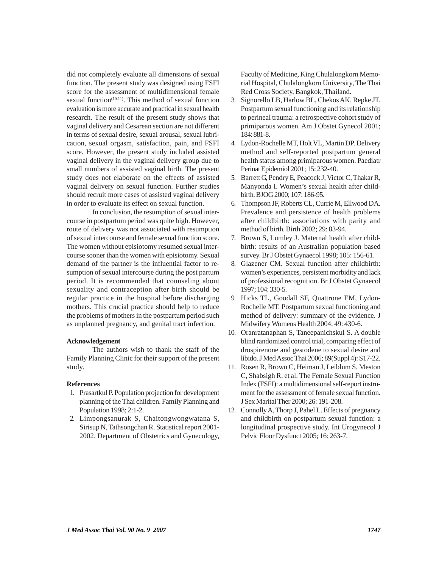did not completely evaluate all dimensions of sexual function. The present study was designed using FSFI score for the assessment of multidimensional female sexual function<sup>(10,11)</sup>. This method of sexual function evaluation is more accurate and practical in sexual health research. The result of the present study shows that vaginal delivery and Cesarean section are not different in terms of sexual desire, sexual arousal, sexual lubrication, sexual orgasm, satisfaction, pain, and FSFI score. However, the present study included assisted vaginal delivery in the vaginal delivery group due to small numbers of assisted vaginal birth. The present study does not elaborate on the effects of assisted vaginal delivery on sexual function. Further studies should recruit more cases of assisted vaginal delivery in order to evaluate its effect on sexual function.

In conclusion, the resumption of sexual intercourse in postpartum period was quite high. However, route of delivery was not associated with resumption of sexual intercourse and female sexual function score. The women without episiotomy resumed sexual intercourse sooner than the women with episiotomy. Sexual demand of the partner is the influential factor to resumption of sexual intercourse during the post partum period. It is recommended that counseling about sexuality and contraception after birth should be regular practice in the hospital before discharging mothers. This crucial practice should help to reduce the problems of mothers in the postpartum period such as unplanned pregnancy, and genital tract infection.

### **Acknowledgement**

The authors wish to thank the staff of the Family Planning Clinic for their support of the present study.

#### **References**

- 1. Prasartkul P. Population projection for development planning of the Thai children. Family Planning and Population 1998; 2:1-2.
- 2. Limpongsanurak S, Chaitongwongwatana S, Sirisup N, Tathsongchan R. Statistical report 2001- 2002. Department of Obstetrics and Gynecology,

Faculty of Medicine, King Chulalongkorn Memorial Hospital, Chulalongkorn University, The Thai Red Cross Society, Bangkok, Thailand.

- 3. Signorello LB, Harlow BL, Chekos AK, Repke JT. Postpartum sexual functioning and its relationship to perineal trauma: a retrospective cohort study of primiparous women. Am J Obstet Gynecol 2001; 184: 881-8.
- 4. Lydon-Rochelle MT, Holt VL, Martin DP. Delivery method and self-reported postpartum general health status among primiparous women. Paediatr Perinat Epidemiol 2001; 15: 232-40.
- 5. Barrett G, Pendry E, Peacock J, Victor C, Thakar R, Manyonda I. Women's sexual health after childbirth. BJOG 2000; 107: 186-95.
- 6. Thompson JF, Roberts CL, Currie M, Ellwood DA. Prevalence and persistence of health problems after childbirth: associations with parity and method of birth. Birth 2002; 29: 83-94.
- 7. Brown S, Lumley J. Maternal health after childbirth: results of an Australian population based survey. Br J Obstet Gynaecol 1998; 105: 156-61.
- 8. Glazener CM. Sexual function after childbirth: women's experiences, persistent morbidity and lack of professional recognition. Br J Obstet Gynaecol 1997; 104: 330-5.
- 9. Hicks TL, Goodall SF, Quattrone EM, Lydon-Rochelle MT. Postpartum sexual functioning and method of delivery: summary of the evidence. J Midwifery Womens Health 2004; 49: 430-6.
- 10. Oranratanaphan S, Taneepanichskul S. A double blind randomized control trial, comparing effect of drospirenone and gestodene to sexual desire and libido. J Med Assoc Thai 2006; 89(Suppl 4): S17-22.
- 11. Rosen R, Brown C, Heiman J, Leiblum S, Meston C, Shabsigh R, et al. The Female Sexual Function Index (FSFI): a multidimensional self-report instrument for the assessment of female sexual function. J Sex Marital Ther 2000; 26: 191-208.
- 12. Connolly A, Thorp J, Pahel L. Effects of pregnancy and childbirth on postpartum sexual function: a longitudinal prospective study. Int Urogynecol J Pelvic Floor Dysfunct 2005; 16: 263-7.